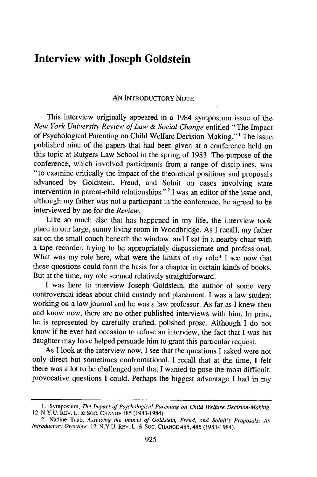## **Interview with Joseph Goldstein**

## **AN** INTRODUCTORY NOTE

This interview originally appeared in a 1984 symposium issue of the *New York University Review of Law & Social Change* entitled "The Impact of Psychological Parenting on Child Welfare Decision-Making."' The issue published nine of the papers that had been given at a conference held on this topic at Rutgers Law School in the spring of 1983. The purpose of the conference, which involved participants from a range of disciplines, was "to examine critically the impact of the theoretical positions and proposals advanced by Goldstein, Freud, and Solnit on cases involving state intervention in parent-child relationships." <sup>2</sup>**I** was an editor of the issue and, although my father was not a participant in the conference, he agreed to be interviewed by me for the *Review.*

Like so much else that has happened in my life, the interview took place in our large, sunny living room in Woodbridge. As I recall, my father sat on the small couch beneath the window, and I sat in a nearby chair with a tape recorder, trying to be appropriately dispassionate and professional. What was my role here, what were the limits of my role? I see now that these questions could form the basis for a chapter in certain kinds of books. But at the time, my role seemed relatively straightforward.

I was here to interview Joseph Goldstein, the author of some very controversial ideas about child custody and placement. I was a law student working on a law journal and he was a law professor. As far as I knew then and know now, there are no other published interviews with him. In print, he is represented by carefully crafted, polished prose. Although I do not know if he ever had occasion to refuse an interview, the fact that **I** was his daughter may have helped persuade him to grant this particular request.

As I look at the interview now, I see that the questions I asked were not only direct but sometimes confrontational. I recall that at the time, I felt there was a lot to be challenged and that I wanted to pose the most difficult, provocative questions I could. Perhaps the biggest advantage I had in my

<sup>1.</sup> Symposium, *The Impact of Psychological Parenting on Child Welfare Decision-Making,* 12 N.Y.U. REV. L. & SOC. **CHANGE** 485 (1983-1984).

<sup>2.</sup> Nadine Taub, *Assessing the Impact of Goldstein, Freud, and Solnit's Proposals: An Introductory Overview,* 12 N.Y.U. REV. L. & SOC. **CHANGE** 485, 485 (1983-1984).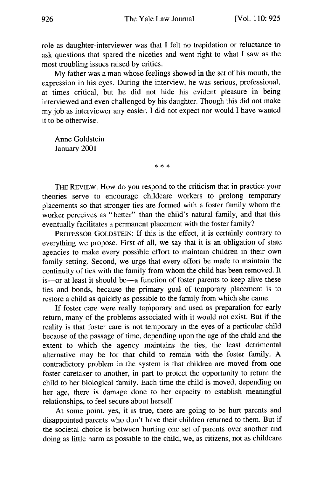role as daughter-interviewer was that I felt no trepidation or reluctance to ask questions that spared the niceties and went right to what I saw as the most troubling issues raised by critics.

My father was a man whose feelings showed in the set of his mouth, the expression in his eyes. During the interview, he was serious, professional, at times critical, but he did not hide his evident pleasure in being interviewed and even challenged by his daughter. Though this did not make my **job** as interviewer any easier, I did not expect nor would I have wanted it to be otherwise.

Anne Goldstein January 2001

 $* * *$ 

THE REVIEW: How do you respond to the criticism that in practice your theories serve to encourage childcare workers to prolong temporary placements so that stronger ties are formed with a foster family whom the worker perceives as "better" than the child's natural family, and that this eventually facilitates a permanent placement with the foster family?

PROFESSOR **GOLDSTEIN:** If this is the effect, it is certainly contrary to everything we propose. First of all, we say that it is an obligation of state agencies to make every possible effort to maintain children in their own family setting. Second, we urge that every effort be made to maintain the continuity of ties with the family from whom the child has been removed. It is-or at least it should be-a function of foster parents to keep alive these ties and bonds, because the primary goal of temporary placement is to restore a child as quickly as possible to the family from which she came.

If foster care were really temporary and used as preparation for early return, many of the problems associated with it would not exist. But if the reality is that foster care is not temporary in the eyes of a particular child because of the passage of time, depending upon the age of the child and the extent to which the agency maintains the ties, the least detrimental alternative may be for that child to remain with the foster family. A contradictory problem in the system is that children are moved from one foster caretaker to another, in part to protect the opportunity to return the child to her biological family. Each time the child is moved, depending on her age, there is damage done to her capacity to establish meaningful relationships, to feel secure about herself.

At some point, yes, it is true, there are going to be hurt parents and disappointed parents who don't have their children returned to them. But if the societal choice is between hurting one set of parents over another and doing as little harm as possible to the child, we, as citizens, not as childcare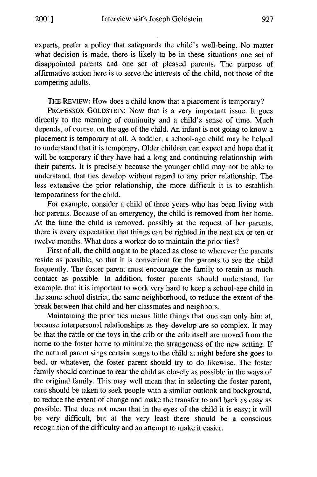experts, prefer a policy that safeguards the child's well-being. No matter what decision is made, there is likely to be in these situations one set of disappointed parents and one set of pleased parents. The purpose of affirmative action here is to serve the interests of the child, not those of the competing adults.

THE REVIEW: How does a child know that a placement is temporary?

PROFESSOR GOLDSTEIN: Now that is a very important issue. It goes directly to the meaning of continuity and a child's sense of time. Much depends, of course, on the age of the child. An infant is not going to know a placement is temporary at all. A toddler, a school-age child may be helped to understand that it is temporary. Older children can expect and hope that it will be temporary if they have had a long and continuing relationship with their parents. It is precisely because the younger child may not be able to understand, that ties develop without regard to any prior relationship. The less extensive the prior relationship, the more difficult it is to establish temporariness for the child.

For example, consider a child of three years who has been living with her parents. Because of an emergency, the child is removed from her home. At the time the child is removed, possibly at the request of her parents, there is every expectation that things can be righted in the next six or ten or twelve months. What does a worker do to maintain the prior ties?

First of all, the child ought to be placed as close to wherever the parents reside as possible, so that it is convenient for the parents to see the child frequently. The foster parent must encourage the family to retain as much contact as possible. In addition, foster parents should understand, for example, that it is important to work very hard to keep a school-age child in the same school district, the same neighborhood, to reduce the extent of the break between that child and her classmates and neighbors.

Maintaining the prior ties means little things that one can only hint at, because interpersonal relationships as they develop are so complex. It may be that the rattle or the toys in the crib or the crib itself are moved from the home to the foster home to minimize the strangeness of the new setting. If the natural parent sings certain songs to the child at night before she goes to bed, or whatever, the foster parent should try to do likewise. The foster family should continue to rear the child as closely as possible in the ways of the original family. This may well mean that in selecting the foster parent, care should be taken to seek people with a similar outlook and background, to reduce the extent of change and make the transfer to and back as easy as possible. That does not mean that in the eyes of the child it is easy; it will be very difficult, but at the very least there should be a conscious recognition of the difficulty and an attempt to make it easier.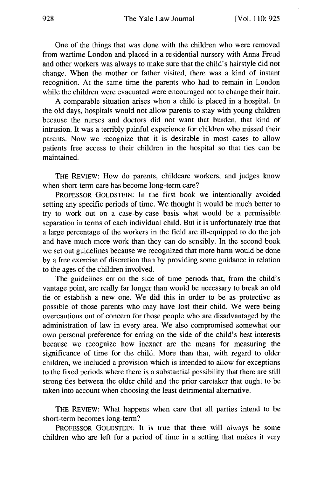One of the things that was done with the children who were removed from wartime London and placed in a residential nursery with Anna Freud and other workers was always to make sure that the child's hairstyle did not change. When the mother or father visited, there was a kind of instant recognition. At the same time the parents who had to remain in London while the children were evacuated were encouraged not to change their hair.

A comparable situation arises when a child is placed in a hospital. In the old days, hospitals would not allow parents to stay with young children because the nurses and doctors did not want that burden, that kind of intrusion. It was a terribly painful experience for children who missed their parents. Now we recognize that it is desirable in most cases to allow patients free access to their children in the hospital so that ties can be maintained.

THE REVIEW: How do parents, childcare workers, and judges know when short-term care has become long-term care?

PROFESSOR **GOLDSTEIN:** In the first book we intentionally avoided setting any specific periods of time. We thought it would be much better to try to work out on a case-by-case basis what would be a permissible separation in terms of each individual child. But it is unfortunately true that a large percentage of the workers in the field are ill-equipped to do the job and have much more work than they can do sensibly. In the second book we set out guidelines because we recognized that more harm would be done by a free exercise of discretion than by providing some guidance in relation to the ages of the children involved.

The guidelines err on the side of time periods that, from the child's vantage point, are really far longer than would be necessary to break an old tie or establish a new one. We did this in order to be as protective as possible of those parents who may have lost their child. We were being overcautious out of concern for those people who are disadvantaged by the administration of law in every area. We also compromised somewhat our own personal preference for erring on the side of the child's best interests because we recognize how inexact are the means for measuring the significance of time for the child. More than that, with regard to older children, we included a provision which is intended to allow for exceptions to the fixed periods where there is a substantial possibility that there are still strong ties between the older child and the prior caretaker that ought to be taken into account when choosing the least detrimental alternative.

THE REvIEw: What happens when care that all parties intend to be short-term becomes long-term?

PROFESSOR GOLDSTEIN: It is true that there will always be some children who are left for a period of time in a setting that makes it very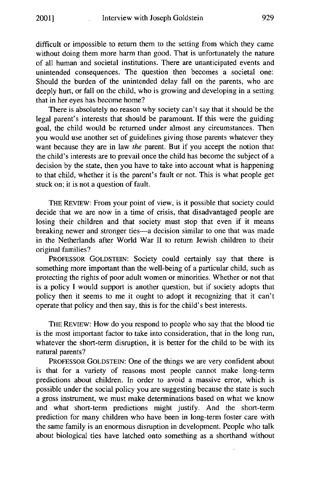difficult or impossible to return them to the setting from which they came without doing them more harm than good. That is unfortunately the nature of all human and societal institutions. There are unanticipated events and unintended consequences. The question then becomes a societal one: Should the burden of the unintended delay fall on the parents, who are deeply hurt, or fall on the child, who is growing and developing in a setting that in her eyes has become home?

There is absolutely no reason why society can't say that it should be the legal parent's interests that should be paramount. If this were the guiding goal, the child would be returned under almost any circumstances. Then you would use another set of guidelines giving those parents whatever they want because they are in law the parent. But if you accept the notion that the child's interests are to prevail once the child has become the subject of a decision by the state, then you have to take into account what is happening to that child, whether it is the parent's fault or not. This is what people get stuck on; it is not a question of fault.

THE REVIEW: From your point of view, is it possible that society could decide that we are now in a time of crisis, that disadvantaged people are losing their children and that society must stop that even if it means breaking newer and stronger ties-a decision similar to one that was made in the Netherlands after World War II to return Jewish children to their original families?

PROFESSOR **GOLDSTEIN:** Society could certainly say that there is something more important than the well-being of a particular child, such as protecting the rights of poor adult women or minorities. Whether or not that is a policy I would support is another question, but if society adopts that policy then it seems to me it ought to adopt it recognizing that it can't operate that policy and then say, this is for the child's best interests.

THE REVIEW: How do you respond to people who say that the blood tie is the most important factor to take into consideration, that in the long run, whatever the short-term disruption, it is better for the child to be with its natural parents?

PROFESSOR **GOLDSTEIN:** One of the things we are very confident about is that for a variety of reasons most people cannot make long-term predictions about children. In order to avoid a massive error, which is possible under the social policy you are suggesting because the state is such a gross instrument, we must make determinations based on what we know and what short-term predictions might justify. And the short-term prediction for many children who have been in long-term foster care with the same family is an enormous disruption in development. People who talk about biological ties have latched onto something as a shorthand without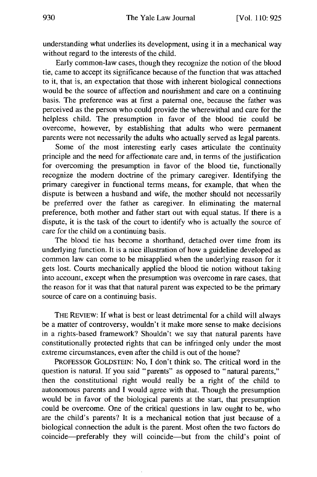understanding what underlies its development, using it in a mechanical way without regard to the interests of the child.

Early common-law cases, though they recognize the notion of the blood tie, came to accept its significance because of the function that was attached to it, that is, an expectation that those with inherent biological connections would be the source of affection and nourishment and care on a continuing basis. The preference was at first a paternal one, because the father was perceived as the person who could provide the wherewithal and care for the helpless child. The presumption in favor of the blood tie could be overcome, however, by establishing that adults who were permanent parents were not necessarily the adults who actually served as legal parents.

Some of the most interesting early cases articulate the continuity principle and the need for affectionate care and, in terms of the justification for overcoming the presumption in favor of the blood tie, functionally recognize the modem doctrine of the primary caregiver. Identifying the primary caregiver in functional terms means, for example, that when the dispute is between a husband and wife, the mother should not necessarily be preferred over the father as caregiver. In eliminating the maternal preference, both mother and father start out with equal status. If there is a dispute, it is the task of the court to identify who is actually the source of care for the child on a continuing basis.

The blood tie has become a shorthand, detached over time from its underlying function. It is a nice illustration of how a guideline developed as common law can come to be misapplied when the underlying reason for it gets lost. Courts mechanically applied the blood tie notion without taking into account, except when the presumption was overcome in rare cases, that the reason for it was that that natural parent was expected to be the primary source of care on a continuing basis.

THE REVIEW: If what is best or least detrimental for a child will always be a matter of controversy, wouldn't it make more sense to make decisions in a rights-based framework? Shouldn't we say that natural parents have constitutionally protected rights that can be infringed only under the most extreme circumstances, even after the child is out of the home?

PROFESSOR GOLDSTEIN: No, I don't think so. The critical word in the question is natural. If you said "parents" as opposed to "natural parents," then the constitutional right would really be a right of the child to autonomous parents and I would agree with that. Though the presumption would be in favor of the biological parents at the start, that presumption could be overcome. One of the critical questions in law ought to be, who are the child's parents? It is a mechanical notion that just because of a biological connection the adult is the parent. Most often the two factors do coincide-preferably they will coincide-but from the child's point of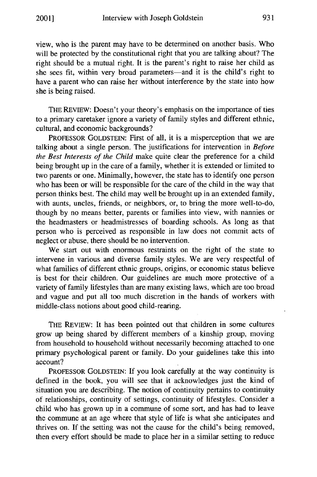view, who is the parent may have to be determined on another basis. Who will be protected by the constitutional right that you are talking about? The right should be a mutual right. It is the parent's right to raise her child as she sees fit, within very broad parameters-and it is the child's right to have a parent who can raise her without interference by the state into how she is being raised.

THE REVIEW: Doesn't your theory's emphasis on the importance of ties to a primary caretaker ignore a variety of family styles and different ethnic, cultural, and economic backgrounds?

PROFESSOR GOLDSTEIN: First of all, it is a misperception that we are talking about a single person. The justifications for intervention in *Before the Best Interests of the Child* make quite clear the preference for a child being brought up in the care of a family, whether it is extended or limited to two parents or one. Minimally, however, the state has to identify one person who has been or will be responsible for the care of the child in the way that person thinks best. The child may well be brought up in an extended family, with aunts, uncles, friends, or neighbors, or, to bring the more well-to-do, though by no means better, parents or families into view, with nannies or the headmasters or headmistresses of boarding schools. As long as that person who is perceived as responsible in law does not commit acts of neglect or abuse, there should be no intervention.

We start out with enormous restraints on the right of the state to intervene in various and diverse family styles. We are very respectful of what families of different ethnic groups, origins, or economic status believe is best for their children. Our guidelines are much more protective of a variety of family lifestyles than are many existing laws, which are too broad and vague and put all too much discretion in the hands of workers with middle-class notions about good child-rearing.

THE REVIEW: It has been pointed out that children in some cultures grow up being shared by different members of a kinship group, moving from household to household without necessarily becoming attached to one primary psychological parent or family. Do your guidelines take this into account?

PROFESSOR GOLDSTEIN: If you look carefully at the way continuity is defined in the book, you will see that it acknowledges just the kind of situation you are describing. The notion of continuity pertains to continuity of relationships, continuity of settings, continuity of lifestyles. Consider a child who has grown up in a commune of some sort, and has had to leave the commune at an age where that style of life is what she anticipates and thrives on. If the setting was not the cause for the child's being removed, then every effort should be made to place her in a similar setting to reduce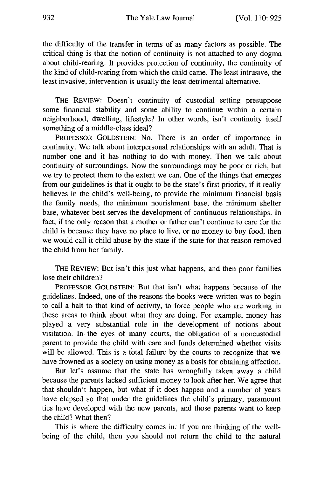the difficulty of the transfer in terms of as many factors as possible. The critical thing is that the notion of continuity is not attached to any dogma about child-rearing. It provides protection of continuity, the continuity of the kind of child-rearing from which the child came. The least intrusive, the least invasive, intervention is usually the least detrimental alternative.

THE REVIEW: Doesn't continuity of custodial setting presuppose some financial stability and some ability to continue within a certain neighborhood, dwelling, lifestyle? In other words, isn't continuity itself something of a middle-class ideal?

PROFESSOR GOLDSTEIN: No. There is an order of importance in continuity. We talk about interpersonal relationships with an adult. That is number one and it has nothing to do with money. Then we talk about continuity of surroundings. Now the surroundings may be poor or rich, but we try to protect them to the extent we can. One of the things that emerges from our guidelines is that it ought to be the state's first priority, if it really believes in the child's well-being, to provide the minimum financial basis the family needs, the minimum nourishment base, the minimum shelter base, whatever best serves the development of continuous relationships. In fact, if the only reason that a mother or father can't continue to care for the child is because they have no place to live, or no money to buy food, then we would call it child abuse by the state if the state for that reason removed the child from her family.

THE REVIEW: But isn't this just what happens, and then poor families lose their children?

PROFESSOR GOLDSTEIN: But that isn't what happens because of the guidelines. Indeed, one of the reasons the books were written was to begin to call a halt to that kind of activity, to force people who are working in these areas to think about what they are doing. For example, money has played a very substantial role in the development of notions about visitation. In the eyes of many courts, the obligation of a noncustodial parent to provide the child with care and funds determined whether visits will be allowed. This is a total failure by the courts to recognize that we have frowned as a society on using money as a basis for obtaining affection.

But let's assume that the state has wrongfully taken away a child because the parents lacked sufficient money to look after her. We agree that that shouldn't happen, but what if it does happen and a number of years have elapsed so that under the guidelines the child's primary, paramount ties have developed with the new parents, and those parents want to keep the child? What then?

This is where the difficulty comes in. If you are thinking of the wellbeing of the child, then you should not return the child to the natural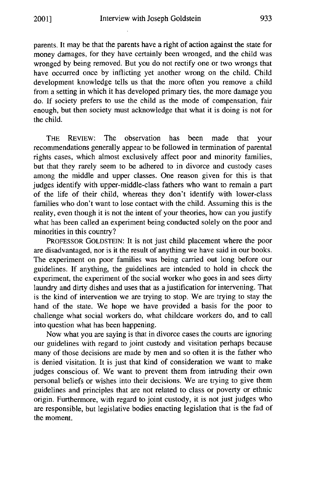parents. It may be that the parents have a right of action against the state for money damages, for they have certainly been wronged, and the child was wronged by being removed. But you do not rectify one or two wrongs that have occurred once by inflicting yet another wrong on the child. Child development knowledge tells us that the more often you remove a child from a setting in which it has developed primary ties, the more damage you do. If society prefers to use the child as the mode of compensation, fair enough, but then society must acknowledge that what it is doing is not for the child.

THE REVIEW: The observation has been made that your recommendations generally appear to be followed in termination of parental rights cases, which almost exclusively affect poor and minority families, but that they rarely seem to be adhered to in divorce and custody cases among the middle and upper classes. One reason given for this is that judges identify with upper-middle-class fathers who want to remain a part of the life of their child, whereas they don't identify with lower-class families who don't want to lose contact with the child. Assuming this is the reality, even though it is not the intent of your theories, how can you justify what has been called an experiment being conducted solely on the poor and minorities in this country?

PROFESSOR GOLDSTEIN: It is not just child placement where the poor are disadvantaged, nor is it the result of anything we have said in our books. The experiment on poor families was being carried out long before our guidelines. If anything, the guidelines are intended to hold in check the experiment, the experiment of the social worker who goes in and sees dirty laundry and dirty dishes and uses that as a justification for intervening. That is the kind of intervention we are trying to stop. We are trying to stay the hand of the state. We hope we have provided a basis for the poor to challenge what social workers do, what childcare workers do, and to call into question what has been happening.

Now what you are saying is that in divorce cases the courts are ignoring our guidelines with regard to joint custody and visitation perhaps because many of those decisions are made by men and so often it is the father who is denied visitation. It is just that kind of consideration we want to make judges conscious of. We want to prevent them from intruding their own personal beliefs or wishes into their decisions. We are trying to give them guidelines and principles that are not related to class or poverty or ethnic origin. Furthermore, with regard to joint custody, it is not just judges who are responsible, but legislative bodies enacting legislation that is the fad of the moment.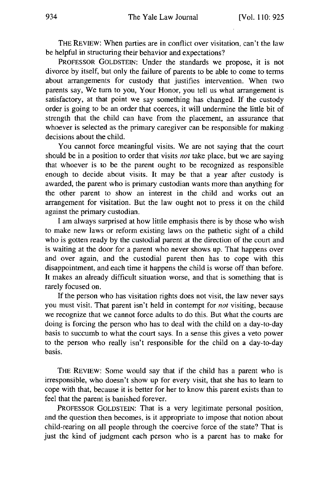THE REVIEW: When parties are in conflict over visitation, can't the law be helpful in structuring their behavior and expectations?

PROFESSOR GOLDSTEIN: Under the standards we propose, it is not divorce by itself, but only the failure of parents to be able to come to terms about arrangements for custody that justifies intervention. When two parents say, We turn to you, Your Honor, you tell us what arrangement is satisfactory, at that point we say something has changed. If the custody order is going to be an order that coerces, it will undermine the little bit of strength that the child can have from the placement, an assurance that whoever is selected as the primary caregiver can be responsible for making decisions about the child.

You cannot force meaningful visits. We are not saying that the court should be in a position to order that visits *not* take place, but we are saying that whoever is to be the parent ought to be recognized as responsible enough to decide about visits. It may be that a year after custody is awarded, the parent who is primary custodian wants more than anything for the other parent to show an interest in the child and works out an arrangement for visitation. But the law ought not to press it on the child against the primary custodian.

I am always surprised at how little emphasis there is by those who wish to make new laws or reform existing laws on the pathetic sight of a child who is gotten ready by the custodial parent at the direction of the court and is waiting at the door for a parent who never shows up. That happens over and over again, and the custodial parent then has to cope with this disappointment, and each time it happens the child is worse off than before. It makes an already difficult situation worse, and that is something that is rarely focused on.

If the person who has visitation rights does not visit, the law never says you must visit. That parent isn't held in contempt for *not* visiting, because we recognize that we cannot force adults to do this. But What the courts are doing is forcing the person who has to deal with the child on a day-to-day basis to succumb to what the court says. In a sense this gives a veto power to the person who really isn't responsible for the child on a day-to-day basis.

THE REVIEW: Some would say that if the child has a parent who is irresponsible, who doesn't show up for every visit, that she has to learn to cope with that, because it is better for her to know this parent exists than to feel that the parent is banished forever.

PROFESSOR GOLDSTEIN: That is a very legitimate personal position, and the question then becomes, is it appropriate to impose that notion about child-rearing on all people through the coercive force of the state? That is just the kind of judgment each person who is a parent has to make for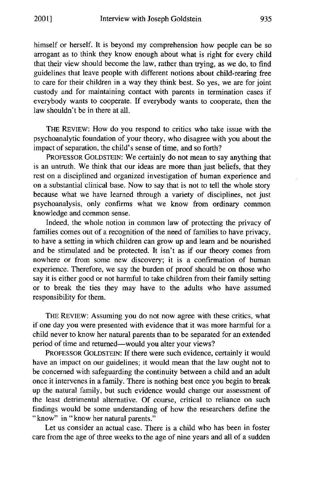himself or herself. It is beyond my comprehension how people can be so arrogant as to think they know enough about what is right for every child that their view should become the law, rather than trying, as we do, to find guidelines that leave people with different notions about child-rearing free to care for their children in a way they think best. So yes, we are for joint custody and for maintaining contact with parents in termination cases if everybody wants to cooperate. If everybody wants to cooperate, then the law shouldn't be in there at all.

THE REVIEW: How do you respond to critics who take issue with the psychoanalytic foundation of your theory, who disagree with you about the impact of separation, the child's sense of time, and so forth?

PROFESSOR GOLDSTEIN: We certainly do not mean to say anything that is an untruth. We think that our ideas are more than just beliefs, that they rest on a disciplined and organized investigation of human experience and on a substantial clinical base. Now to say that is not to tell the whole story because what we have learned through a variety of disciplines, not just psychoanalysis, only confirms what we know from ordinary common knowledge and common sense.

Indeed, the whole notion in common law of protecting the privacy of families comes out of a recognition of the need of families to have privacy, to have a setting in which children can grow up and learn and be nourished and be stimulated and be protected. It isn't as if our theory comes from nowhere or from some new discovery; it is a confirmation of human experience. Therefore, we say the burden of proof should be on those who say it is either good or not harmful to take children from their family setting or to break the ties they may have to the adults who have assumed responsibility for them.

THE REVIEW: Assuming you do not now agree with these critics, what if one day you were presented with evidence that it was more harmful for a child never to know her natural parents than to be separated for an extended period of time and returned-would you alter your views?

PROFESSOR GOLDSTEIN: If there were such evidence, certainly it would have an impact on our guidelines; it would mean that the law ought not to be concerned with safeguarding the continuity between a child and an adult once it intervenes in a family. There is nothing best once you begin to break up the natural family, but such evidence would change our assessment of the least detrimental alternative. Of course, critical to reliance on such findings would be some understanding of how the researchers define the "know" in "know her natural parents."

Let us consider an actual case. There is a child who has been in foster care from the age of three weeks to the age of nine years and all of a sudden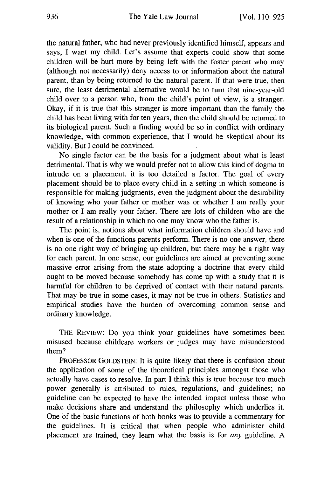the natural father, who had never previously identified himself, appears and says, I want my child. Let's assume that experts could show that some children will be hurt more by being left with the foster parent who may (although not necessarily) deny access to or information about the natural parent, than by being returned to the natural parent. If that were true, then sure, the least detrimental alternative would be to turn that nine-year-old child over to a person who, from the child's point of view, is a stranger. Okay, if it is true that this stranger is more important than the family the child has been living with for ten years, then the child should be returned to its biological parent. Such a finding would be so in conflict with ordinary knowledge, with common experience, that I would be skeptical about its validity. But I could be convinced.

No single factor can be the basis for a judgment about what is least detrimental. That is why we would prefer not to allow this kind of dogma to intrude on a placement; it is too detailed a factor. The goal of every placement should be to place every child in a setting in which someone is responsible for making judgments, even the judgment about the desirability of knowing who your father or mother was or whether I am really your mother or I am really your father. There are lots of children who are the result of a relationship in which no one may know who the father is.

The point is, notions about what information children should have and when is one of the functions parents perform. There is no one answer, there is no one right way of bringing up children, but there may be a right way for each parent. In one sense, our guidelines are aimed at preventing some massive error arising from the state adopting a doctrine that every child ought to be moved because somebody has come up with a study that it is harmful for children to be deprived of contact with their natural parents. That may be true in some cases, it may not be true in others. Statistics and empirical studies have the burden of overcoming common sense and ordinary knowledge.

THE REVIEW: Do you think your guidelines have sometimes been misused because childcare workers or judges may have misunderstood them?

**PROFESSOR GOLDSTEIN:** It is quite likely that there is confusion about the application of some of the theoretical principles amongst those who actually have cases to resolve. In part I think this is true because too much power generally is attributed to rules, regulations, and guidelines; no guideline can be expected to have the intended impact unless those who make decisions share and understand the philosophy which underlies it. One of the basic functions of both books was to provide a commentary for the guidelines. It is critical that when people who administer child placement are trained, they learn what the basis is for *any* guideline. A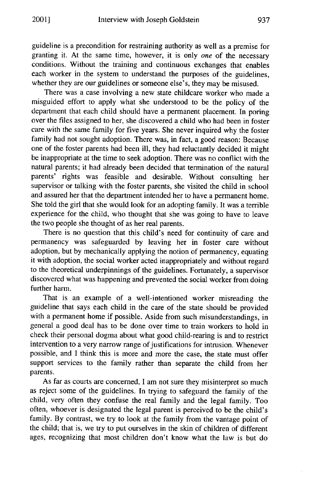guideline is a precondition for restraining authority as well as a premise for granting it. At the same time, however, it is only *one* of the necessary conditions. Without the training and continuous exchanges that enables each worker in the system to understand the purposes of the guidelines, whether they are our guidelines or someone else's, they may be misused.

There was a case involving a new state childcare worker who made a misguided effort to apply what she understood to be the policy of the department that each child should have a permanent placement. In poring over the files assigned to her, she discovered a child who had been in foster care with the same family for five years. She never inquired why the foster family had not sought adoption. There was, in fact, a good reason: Because one of the foster parents had been ill, they had reluctantly decided it might be inappropriate at the time to seek adoption. There was no conflict with the natural parents; it had already been decided that termination of the natural parents' rights was feasible and desirable. Without consulting her supervisor or talking with the foster parents, she visited the child in school and assured her that the department intended her to have a permanent home. She told the girl that she would look for an adopting family. It was a terrible experience for the child, who thought that she was going to have to leave the two people she thought of as her real parents.

There is no question that this child's need for continuity of care and permanency was safeguarded by leaving her in foster care without adoption, but by mechanically applying the notion of permanency, equating it with adoption, the social worker acted inappropriately and without regard to the theoretical underpinnings of the guidelines. Fortunately, a supervisor discovered what was happening and prevented the social worker from doing further harm.

That is an example of a well-intentioned worker misreading the guideline that says each child in the care of the state should be provided with a permanent home if possible. Aside from such misunderstandings, in general a good deal has to be done over time to train workers to hold in check their personal dogma about what good child-rearing is and to restrict intervention to a very narrow range of justifications for intrusion. Whenever possible, and I think this is more and more the case, the state must offer support services to the family rather than separate the child from her parents.

As far as courts are concerned, I am not sure they misinterpret so much as reject some of the guidelines. In trying to safeguard the family of the child, very often they confuse the real family and the legal family. Too often, whoever is designated the legal parent is perceived to be the child's family. By contrast, we try to look at the family from the vantage point of the child; that is, we try to put ourselves in the skin of children of different ages, recognizing that most children don't know what the law is but do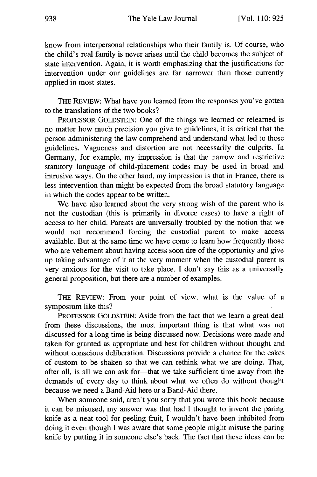know from interpersonal relationships who their family is. Of course, who the child's real family is never arises until the child becomes the subject of state intervention. Again, it is worth emphasizing that the justifications for intervention under our guidelines are far narrower than those currently applied in most states.

THE REVIEW: What have you learned from the responses you've gotten to the translations of the two books?

PROFESSOR GOLDSTEIN: One of the things we learned or relearned is no matter how much precision you give to guidelines, it is critical that the person administering the law comprehend and understand what led to those guidelines. Vagueness and distortion are not necessarily the culprits. In Germany, for example, my impression is that the narrow and restrictive statutory language of child-placement codes may be used in broad and intrusive ways. On the other hand, my impression is that in France, there is less intervention than might be expected from the broad statutory language in which the codes appear to be written.

We have also learned about the very strong wish of the parent who is not the custodian (this is primarily in divorce cases) to have a right of access to her child. Parents are universally troubled by the notion that we would not recommend forcing the custodial parent to make access available. But at the same time we have come to learn how frequently those who are vehement about having access soon tire of the opportunity and give up taking advantage of it at the very moment when the custodial parent is very anxious for the visit to take place. I don't say this as a universally general proposition, but there are a number of examples.

THE REVIEW: From your point of view, what is the value of a symposium like this?

PROFESSOR GOLDSTEIN: Aside from the fact that we learn a great deal from these discussions, the most important thing is that what was not discussed for a long time is being discussed now. Decisions were made and taken for granted as appropriate and best for children without thought and without conscious deliberation. Discussions provide a chance for the cakes of custom to be shaken so that we can rethink what we are doing. That, after all, is all we can ask for-that we take sufficient time away from the demands of every day to think about what we often do without thought because we need a Band-Aid here or a Band-Aid there.

When someone said, aren't you sorry that you wrote this book because it can be misused, my answer was that had I thought to invent the paring knife as a neat tool for peeling fruit, I wouldn't have been inhibited from doing it even though I was aware that some people might misuse the paring knife by putting it in someone else's back. The fact that these ideas can be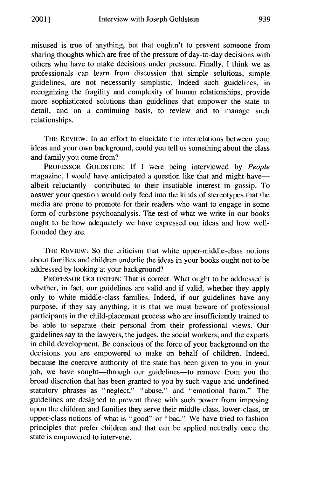misused is true of anything, but that oughtn't to prevent someone from sharing thoughts which are free of the pressure of day-to-day decisions with others who have to make decisions under pressure. Finally, I think we as professionals can learn from discussion that simple solutions, simple guidelines, are not necessarily simplistic. Indeed such guidelines, in recognizing the fragility and complexity of human relationships, provide more sophisticated solutions than guidelines that empower the state to detail, and on a continuing basis, to review and to manage such relationships.

THE REVIEW: In an effort to elucidate the interrelations between your ideas and your own background, could you tell us something about the class and family you come from?

PROFESSOR GOLDSTEIN: If I were being interviewed by *People* magazine, I would have anticipated a question like that and might havealbeit reluctantly-contributed to their insatiable interest in gossip. To answer your question would only feed into the kinds of stereotypes that the media are prone to promote for their readers who want to engage in some form of curbstone psychoanalysis. The test of what we write in our books ought to be how adequately we have expressed our ideas and how wellfounded they are.

THE REVIEW: So the criticism that white upper-middle-class notions about families and children underlie the ideas in your books ought not to be addressed by looking at your background?

PROFESSOR GOLDSTEIN: That is correct. What ought to be addressed is whether, in fact, our guidelines are valid and if valid, whether they apply only to white middle-class families. Indeed, if our guidelines have any purpose, if they say anything, it is that we must beware of professional participants in the child-placement process who are insufficiently trained to be able to separate their personal from their professional views. Our guidelines say to the lawyers, the judges, the social workers, and the experts in child development, Be conscious of the force of your background on the decisions you are empowered to make on behalf of children. Indeed, because the coercive authority of the state has been given to you in your job, we have sought—through our guidelines—to remove from you the broad discretion that has been granted to you by such vague and undefined statutory phrases as "neglect," "abuse," and "emotional harm." The guidelines are designed to prevent those with such power from imposing upon the children and families they serve their middle-class, lower-class, or upper-class notions of what is "good" or "bad." We have tried to fashion principles that prefer children and that can be applied neutrally once the state is empowered to intervene.